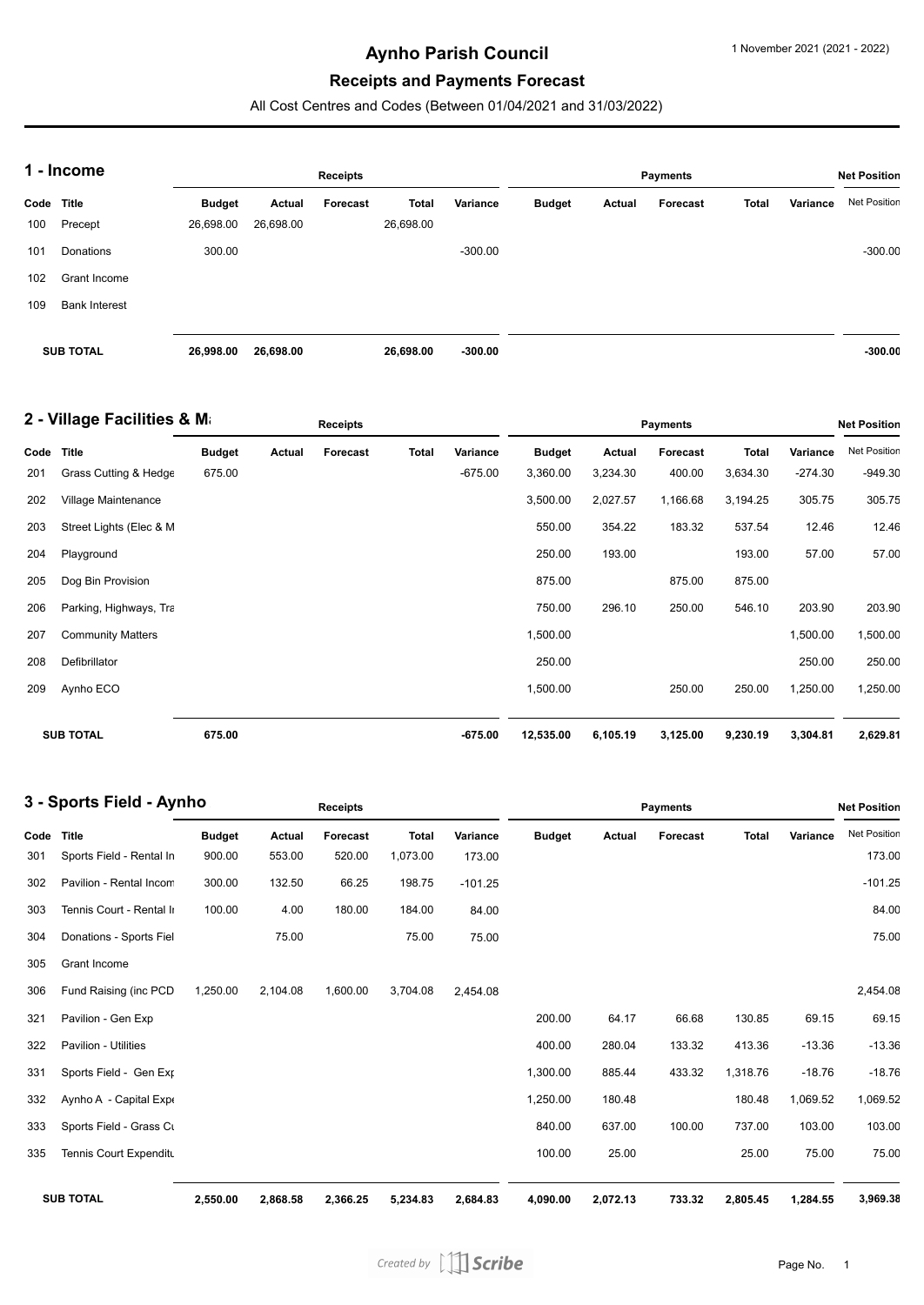# **Aynho Parish Council**

# **Receipts and Payments Forecast**

All Cost Centres and Codes (Between 01/04/2021 and 31/03/2022)

| 1 - Income       |                      |               |           | <b>Receipts</b> |              |           | <b>Net Position</b> |        |          |       |          |                     |
|------------------|----------------------|---------------|-----------|-----------------|--------------|-----------|---------------------|--------|----------|-------|----------|---------------------|
| Code Title       |                      | <b>Budget</b> | Actual    | Forecast        | <b>Total</b> | Variance  | <b>Budget</b>       | Actual | Forecast | Total | Variance | <b>Net Position</b> |
| 100              | Precept              | 26,698.00     | 26,698.00 |                 | 26,698.00    |           |                     |        |          |       |          |                     |
| 101              | Donations            | 300.00        |           |                 |              | $-300.00$ |                     |        |          |       |          | $-300.00$           |
| 102              | Grant Income         |               |           |                 |              |           |                     |        |          |       |          |                     |
| 109              | <b>Bank Interest</b> |               |           |                 |              |           |                     |        |          |       |          |                     |
|                  |                      |               |           |                 |              |           |                     |        |          |       |          |                     |
| <b>SUB TOTAL</b> |                      | 26,998.00     | 26,698.00 |                 | 26,698.00    | $-300.00$ |                     |        |          |       |          | $-300.00$           |

| 2 - Village Facilities & Ma |                          |               |        | <b>Receipts</b> |              |           |               | Payments |                 |              |           |              |  |
|-----------------------------|--------------------------|---------------|--------|-----------------|--------------|-----------|---------------|----------|-----------------|--------------|-----------|--------------|--|
| Code                        | <b>Title</b>             | <b>Budget</b> | Actual | <b>Forecast</b> | <b>Total</b> | Variance  | <b>Budget</b> | Actual   | <b>Forecast</b> | <b>Total</b> | Variance  | Net Position |  |
| 201                         | Grass Cutting & Hedge    | 675.00        |        |                 |              | $-675.00$ | 3,360.00      | 3,234.30 | 400.00          | 3,634.30     | $-274.30$ | $-949.30$    |  |
| 202                         | Village Maintenance      |               |        |                 |              |           | 3,500.00      | 2,027.57 | 1,166.68        | 3,194.25     | 305.75    | 305.75       |  |
| 203                         | Street Lights (Elec & M  |               |        |                 |              |           | 550.00        | 354.22   | 183.32          | 537.54       | 12.46     | 12.46        |  |
| 204                         | Playground               |               |        |                 |              |           | 250.00        | 193.00   |                 | 193.00       | 57.00     | 57.00        |  |
| 205                         | Dog Bin Provision        |               |        |                 |              |           | 875.00        |          | 875.00          | 875.00       |           |              |  |
| 206                         | Parking, Highways, Tra   |               |        |                 |              |           | 750.00        | 296.10   | 250.00          | 546.10       | 203.90    | 203.90       |  |
| 207                         | <b>Community Matters</b> |               |        |                 |              |           | 1,500.00      |          |                 |              | 1,500.00  | 1,500.00     |  |
| 208                         | Defibrillator            |               |        |                 |              |           | 250.00        |          |                 |              | 250.00    | 250.00       |  |
| 209                         | Aynho ECO                |               |        |                 |              |           | 1,500.00      |          | 250.00          | 250.00       | 1,250.00  | 1,250.00     |  |
|                             | <b>SUB TOTAL</b>         | 675.00        |        |                 |              | $-675.00$ | 12,535.00     | 6,105.19 | 3,125.00        | 9,230.19     | 3,304.81  | 2,629.81     |  |

| 3 - Sports Field - Aynho |                             |               | <b>Receipts</b> |          |              |           |               | <b>Net Position</b> |          |              |          |                     |
|--------------------------|-----------------------------|---------------|-----------------|----------|--------------|-----------|---------------|---------------------|----------|--------------|----------|---------------------|
| Code                     | <b>Title</b>                | <b>Budget</b> | Actual          | Forecast | <b>Total</b> | Variance  | <b>Budget</b> | Actual              | Forecast | <b>Total</b> | Variance | <b>Net Position</b> |
| 301                      | Sports Field - Rental In    | 900.00        | 553.00          | 520.00   | 1,073.00     | 173.00    |               |                     |          |              |          | 173.00              |
| 302                      | Pavilion - Rental Incom     | 300.00        | 132.50          | 66.25    | 198.75       | $-101.25$ |               |                     |          |              |          | $-101.25$           |
| 303                      | Tennis Court - Rental II    | 100.00        | 4.00            | 180.00   | 184.00       | 84.00     |               |                     |          |              |          | 84.00               |
| 304                      | Donations - Sports Fiel     |               | 75.00           |          | 75.00        | 75.00     |               |                     |          |              |          | 75.00               |
| 305                      | Grant Income                |               |                 |          |              |           |               |                     |          |              |          |                     |
| 306                      | Fund Raising (inc PCD       | 1,250.00      | 2,104.08        | 1,600.00 | 3,704.08     | 2,454.08  |               |                     |          |              |          | 2,454.08            |
| 321                      | Pavilion - Gen Exp          |               |                 |          |              |           | 200.00        | 64.17               | 66.68    | 130.85       | 69.15    | 69.15               |
| 322                      | <b>Pavilion - Utilities</b> |               |                 |          |              |           | 400.00        | 280.04              | 133.32   | 413.36       | $-13.36$ | $-13.36$            |
| 331                      | Sports Field - Gen Exp      |               |                 |          |              |           | 1,300.00      | 885.44              | 433.32   | 1,318.76     | $-18.76$ | $-18.76$            |
| 332                      | Aynho A - Capital Expe      |               |                 |          |              |           | 1,250.00      | 180.48              |          | 180.48       | 1,069.52 | 1,069.52            |
| 333                      | Sports Field - Grass Cu     |               |                 |          |              |           | 840.00        | 637.00              | 100.00   | 737.00       | 103.00   | 103.00              |
| 335                      | Tennis Court Expenditu      |               |                 |          |              |           | 100.00        | 25.00               |          | 25.00        | 75.00    | 75.00               |
|                          | <b>SUB TOTAL</b>            | 2,550.00      | 2,868.58        | 2,366.25 | 5,234.83     | 2,684.83  | 4,090.00      | 2,072.13            | 733.32   | 2,805.45     | 1,284.55 | 3,969.38            |